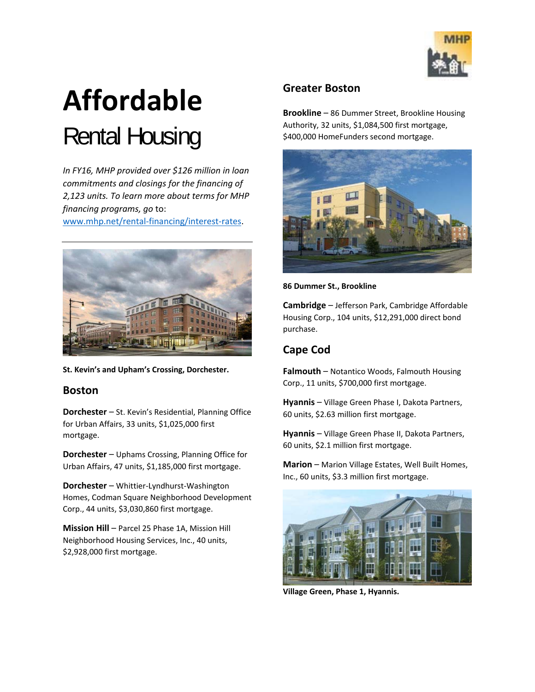

# **Affordable**  Rental Housing

*In FY16, MHP provided over \$126 million in loan commitments and closings for the financing of 2,123 units. To learn more about terms for MHP financing programs, go* to:

www.mhp.net/rental-financing/interest-rates.



**St. Kevin's and Upham's Crossing, Dorchester.**

#### **Boston**

**Dorchester** – St. Kevin's Residential, Planning Office for Urban Affairs, 33 units, \$1,025,000 first mortgage.

**Dorchester** – Uphams Crossing, Planning Office for Urban Affairs, 47 units, \$1,185,000 first mortgage.

**Dorchester** – Whittier‐Lyndhurst‐Washington Homes, Codman Square Neighborhood Development Corp., 44 units, \$3,030,860 first mortgage.

**Mission Hill** – Parcel 25 Phase 1A, Mission Hill Neighborhood Housing Services, Inc., 40 units, \$2,928,000 first mortgage.

#### **Greater Boston**

**Brookline** – 86 Dummer Street, Brookline Housing Authority, 32 units, \$1,084,500 first mortgage, \$400,000 HomeFunders second mortgage.



**86 Dummer St., Brookline**

**Cambridge** – Jefferson Park, Cambridge Affordable Housing Corp., 104 units, \$12,291,000 direct bond purchase.

# **Cape Cod**

**Falmouth** – Notantico Woods, Falmouth Housing Corp., 11 units, \$700,000 first mortgage.

**Hyannis** – Village Green Phase I, Dakota Partners, 60 units, \$2.63 million first mortgage.

**Hyannis** – Village Green Phase II, Dakota Partners, 60 units, \$2.1 million first mortgage.

**Marion** – Marion Village Estates, Well Built Homes, Inc., 60 units, \$3.3 million first mortgage.



**Village Green, Phase 1, Hyannis.**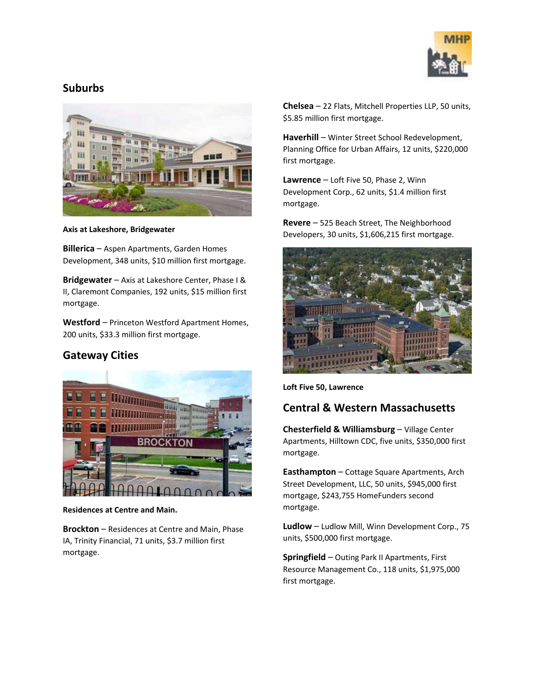

### **Suburbs**



**Axis at Lakeshore, Bridgewater**

**Billerica** – Aspen Apartments, Garden Homes Development, 348 units, \$10 million first mortgage.

**Bridgewater** – Axis at Lakeshore Center, Phase I & II, Claremont Companies, 192 units, \$15 million first mortgage.

**Westford** – Princeton Westford Apartment Homes, 200 units, \$33.3 million first mortgage.

# **Gateway Cities**



**Residences at Centre and Main.**

**Brockton** – Residences at Centre and Main, Phase IA, Trinity Financial, 71 units, \$3.7 million first mortgage.

**Chelsea** – 22 Flats, Mitchell Properties LLP, 50 units, \$5.85 million first mortgage.

**Haverhill** – Winter Street School Redevelopment, Planning Office for Urban Affairs, 12 units, \$220,000 first mortgage.

**Lawrence** – Loft Five 50, Phase 2, Winn Development Corp., 62 units, \$1.4 million first mortgage.

**Revere** – 525 Beach Street, The Neighborhood Developers, 30 units, \$1,606,215 first mortgage.



**Loft Five 50, Lawrence**

# **Central & Western Massachusetts**

**Chesterfield & Williamsburg** – Village Center Apartments, Hilltown CDC, five units, \$350,000 first mortgage.

**Easthampton** – Cottage Square Apartments, Arch Street Development, LLC, 50 units, \$945,000 first mortgage, \$243,755 HomeFunders second mortgage.

**Ludlow** – Ludlow Mill, Winn Development Corp., 75 units, \$500,000 first mortgage.

**Springfield** – Outing Park II Apartments, First Resource Management Co., 118 units, \$1,975,000 first mortgage.